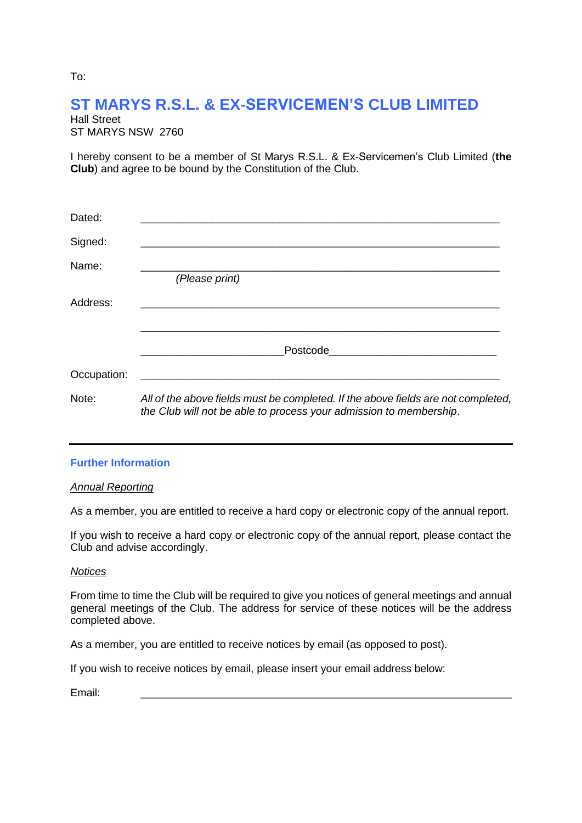# **ST MARYS R.S.L. & EX-SERVICEMEN'S CLUB LIMITED**

| Hall Street |                   |  |  |
|-------------|-------------------|--|--|
|             | ST MARYS NSW_2760 |  |  |

I hereby consent to be a member of St Marys R.S.L. & Ex-Servicemen's Club Limited (**the Club**) and agree to be bound by the Constitution of the Club.

| Dated:      |                                                                                                                                                         |  |
|-------------|---------------------------------------------------------------------------------------------------------------------------------------------------------|--|
| Signed:     |                                                                                                                                                         |  |
| Name:       | (Please print)                                                                                                                                          |  |
| Address:    |                                                                                                                                                         |  |
|             | Postcode <b>Exercía de Sensional de Sension</b>                                                                                                         |  |
| Occupation: |                                                                                                                                                         |  |
| Note:       | All of the above fields must be completed. If the above fields are not completed,<br>the Club will not be able to process your admission to membership. |  |

## **Further Information**

### *Annual Reporting*

As a member, you are entitled to receive a hard copy or electronic copy of the annual report.

If you wish to receive a hard copy or electronic copy of the annual report, please contact the Club and advise accordingly.

### *Notices*

From time to time the Club will be required to give you notices of general meetings and annual general meetings of the Club. The address for service of these notices will be the address completed above.

As a member, you are entitled to receive notices by email (as opposed to post).

If you wish to receive notices by email, please insert your email address below:

Email: \_\_\_\_\_\_\_\_\_\_\_\_\_\_\_\_\_\_\_\_\_\_\_\_\_\_\_\_\_\_\_\_\_\_\_\_\_\_\_\_\_\_\_\_\_\_\_\_\_\_\_\_\_\_\_\_\_\_\_\_\_\_

To: